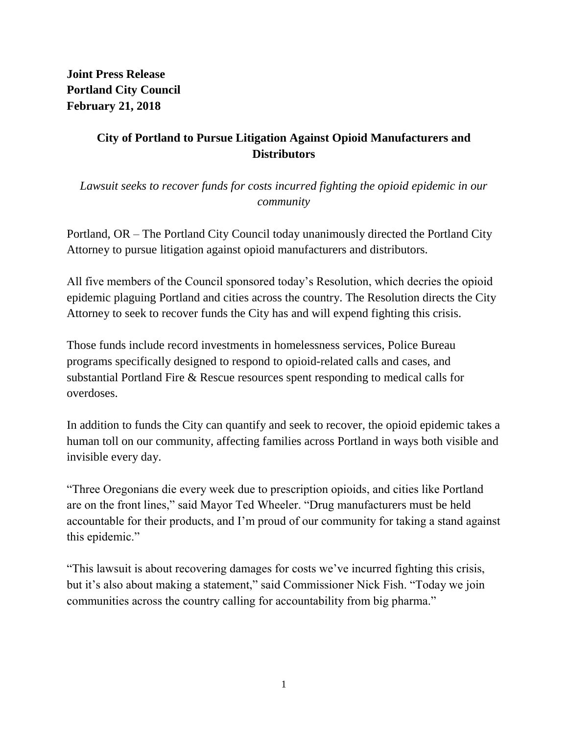**Joint Press Release Portland City Council February 21, 2018**

## **City of Portland to Pursue Litigation Against Opioid Manufacturers and Distributors**

*Lawsuit seeks to recover funds for costs incurred fighting the opioid epidemic in our community*

Portland, OR – The Portland City Council today unanimously directed the Portland City Attorney to pursue litigation against opioid manufacturers and distributors.

All five members of the Council sponsored today's Resolution, which decries the opioid epidemic plaguing Portland and cities across the country. The Resolution directs the City Attorney to seek to recover funds the City has and will expend fighting this crisis.

Those funds include record investments in homelessness services, Police Bureau programs specifically designed to respond to opioid-related calls and cases, and substantial Portland Fire & Rescue resources spent responding to medical calls for overdoses.

In addition to funds the City can quantify and seek to recover, the opioid epidemic takes a human toll on our community, affecting families across Portland in ways both visible and invisible every day.

"Three Oregonians die every week due to prescription opioids, and cities like Portland are on the front lines," said Mayor Ted Wheeler. "Drug manufacturers must be held accountable for their products, and I'm proud of our community for taking a stand against this epidemic."

"This lawsuit is about recovering damages for costs we've incurred fighting this crisis, but it's also about making a statement," said Commissioner Nick Fish. "Today we join communities across the country calling for accountability from big pharma."